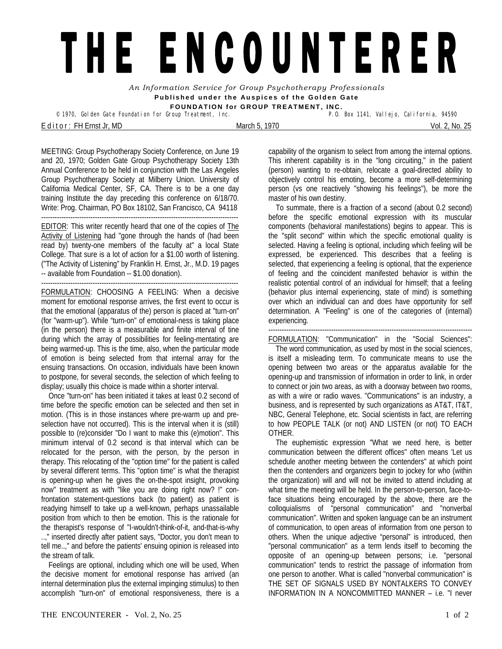## THE ENCOUNTERER

*An Information Service for Group Psychotherapy Professionals*  **Published under the Auspices of the Golden Gate FOUNDATION for GROUP TREATMENT, INC.** 

<sup>©</sup> 1970, Golden Gate Foundation for Group Treatment, Inc.

E d i t o r : FH Ernst Jr, MD March 5, 1970 Vol. 2, No. 25

MEETING: Group Psychotherapy Society Conference, on June 19 and 20, 1970; Golden Gate Group Psychotherapy Society 13th Annual Conference to be held in conjunction with the Las Angeles Group Psychotherapy Society at Milberry Union. University of California Medical Center, SF, CA. There is to be a one day training Institute the day preceding this conference on 6/18/70. Write: Prog. Chairman, PO Box 18102, San Francisco, CA 94118

---------------------------------------------------------------------------------------- EDITOR: This writer recently heard that one of the copies of The Activity of Listening had "gone through the hands of (had been read by) twenty-one members of the faculty at" a local State College. That sure is a lot of action for a \$1.00 worth of listening. ("The Activity of Listening" by Franklin H. Ernst, Jr., M.D. 19 pages -- available from Foundation -- \$1.00 donation). ----------------------------------------------------------------------------------------

FORMULATION: CHOOSING A FEELING: When a decisive moment for emotional response arrives, the first event to occur is that the emotional (apparatus of the) person is placed at "turn-on" (for "warm-up"). While "turn-on" of emotional-ness is taking place (in the person) there is a measurable and finite interval of tine during which the array of possibilities for feeling-mentating are being warmed-up. This is the time, also, when the particular mode of emotion is being selected from that internal array for the ensuing transactions. On occasion, individuals have been known to postpone, for several seconds, the selection of which feeling to display; usually this choice is made within a shorter interval.

 Once "turn-on" has been initiated it takes at least 0.2 second of time before the specific emotion can be selected and then set in motion. (This is in those instances where pre-warm up and preselection have not occurred). This is the interval when it is (still) possible to (re)consider "Do I want to make this (e)motion". This minimum interval of 0.2 second is that interval which can be relocated for the person, with the person, by the person in therapy. This relocating of the "option time" for the patient is called by several different terms. This "option time" is what the therapist is opening-up when he gives the on-the-spot insight, provoking now" treatment as with "like you are doing right now? !" confrontation statement-questions back (to patient) as patient is readying himself to take up a well-known, perhaps unassailable position from which to then be emotion. This is the rationale for the therapist's response of "I-wouldn't-think-of-it, and-that-is-why ..," inserted directly after patient says, "Doctor, you don't mean to tell me..," and before the patients' ensuing opinion is released into the stream of talk.

 Feelings are optional, including which one will be used, When the decisive moment for emotional response has arrived (an internal determination plus the external impinging stimulus) to then accomplish "turn-on" of emotional responsiveness, there is a

capability of the organism to select from among the internal options. This inherent capability is in the "long circuiting," in the patient (person) wanting to re-obtain, relocate a goal-directed ability to objectively control his emoting, become a more self-determining person (vs one reactively "showing his feelings"), be more the master of his own destiny.

 To summate, there is a fraction of a second (about 0.2 second) before the specific emotional expression with its muscular components (behavioral manifestations) begins to appear. This is the "split second" within which the specific emotional quality is selected. Having a feeling is optional, including which feeling will be expressed, be experienced. This describes that a feeling is selected, that experiencing a feeling is optional, that the experience of feeling and the coincident manifested behavior is within the realistic potential control of an individual for himself; that a feeling (behavior plus internal experiencing, state of mind) is something over which an individual can and does have opportunity for self determination. A "Feeling" is one of the categories of (internal) experiencing.

-------------------------------------------------------------------------------------------

FORMULATION: "Communication" in the "Social Sciences":

 The word communication, as used by most in the social sciences, is itself a misleading term. To communicate means to use the opening between two areas or the apparatus available for the opening-up and transmission of information in order to link, in order to connect or join two areas, as with a doorway between two rooms, as with a wire or radio waves. "Communications" is an industry, a business, and is represented by such organizations as AT&T, IT&T, NBC, General Telephone, etc. Social scientists in fact, are referring to how PEOPLE TALK (or not) AND LISTEN (or not) TO EACH OTHER.

 The euphemistic expression "What we need here, is better communication between the different offices" often means 'Let us schedule another meeting between the contenders" at which point then the contenders and organizers begin to jockey for who (within the organization) will and will not be invited to attend including at what time the meeting will be held. In the person-to-person, face-toface situations being encouraged by the above, there are the colloquialisms of "personal communication" and "nonverbal communication". Written and spoken language can be an instrument of communication, to open areas of information from one person to others. When the unique adjective "personal" is introduced, then "personal communication" as a term lends itself to becoming the opposite of an opening-up between persons; i.e. "personal communication" tends to restrict the passage of information from one person to another. What is called "nonverbal communication" is THE SET OF SIGNALS USED BY NONTALKERS TO CONVEY INFORMATION IN A NONCOMMITTED MANNER – i.e. "I never